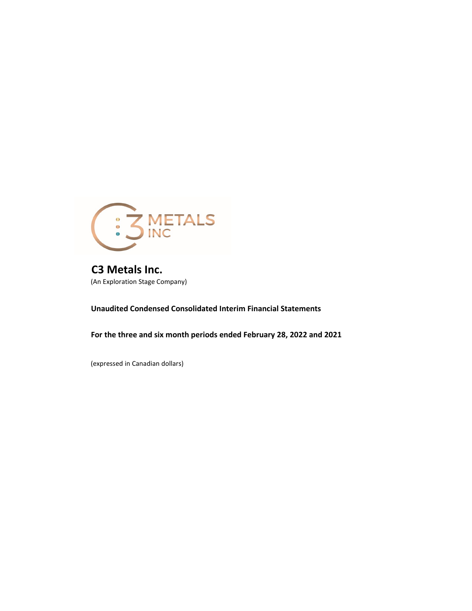

**C3 Metals Inc.** (An Exploration Stage Company)

**Unaudited Condensed Consolidated Interim Financial Statements**

**For the three and six month periods ended February 28, 2022 and 2021** 

(expressed in Canadian dollars)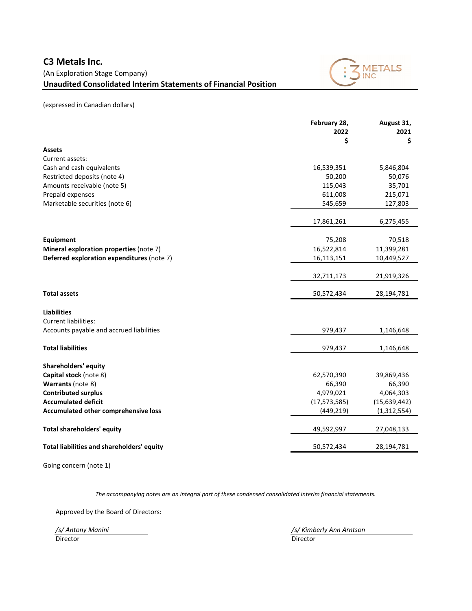# (An Exploration Stage Company) **Unaudited Consolidated Interim Statements of Financial Position**



(expressed in Canadian dollars)

|                                            | February 28,<br>2022 | August 31,<br>2021 |
|--------------------------------------------|----------------------|--------------------|
|                                            | \$                   | \$                 |
| <b>Assets</b>                              |                      |                    |
| Current assets:                            |                      |                    |
| Cash and cash equivalents                  | 16,539,351           | 5,846,804          |
| Restricted deposits (note 4)               | 50,200               | 50,076             |
| Amounts receivable (note 5)                | 115,043              | 35,701             |
| Prepaid expenses                           | 611,008              | 215,071            |
| Marketable securities (note 6)             | 545,659              | 127,803            |
|                                            |                      |                    |
|                                            | 17,861,261           | 6,275,455          |
| Equipment                                  | 75,208               | 70,518             |
| Mineral exploration properties (note 7)    | 16,522,814           | 11,399,281         |
| Deferred exploration expenditures (note 7) | 16,113,151           | 10,449,527         |
|                                            |                      |                    |
|                                            | 32,711,173           | 21,919,326         |
| <b>Total assets</b>                        | 50,572,434           | 28,194,781         |
| <b>Liabilities</b>                         |                      |                    |
| Current liabilities:                       |                      |                    |
| Accounts payable and accrued liabilities   | 979,437              | 1,146,648          |
|                                            |                      |                    |
| <b>Total liabilities</b>                   | 979,437              | 1,146,648          |
| <b>Shareholders' equity</b>                |                      |                    |
| Capital stock (note 8)                     | 62,570,390           | 39,869,436         |
| Warrants (note 8)                          | 66,390               | 66,390             |
| <b>Contributed surplus</b>                 | 4,979,021            | 4,064,303          |
| <b>Accumulated deficit</b>                 | (17, 573, 585)       | (15,639,442)       |
| Accumulated other comprehensive loss       | (449, 219)           | (1, 312, 554)      |
|                                            |                      |                    |
| <b>Total shareholders' equity</b>          | 49,592,997           | 27,048,133         |
| Total liabilities and shareholders' equity | 50,572,434           | 28,194,781         |
|                                            |                      |                    |

Going concern (note 1)

*The accompanying notes are an integral part of these condensed consolidated interim financial statements.*

Approved by the Board of Directors:

Director Director

*/s/ Antony Manini /s/ Kimberly Ann Arntson*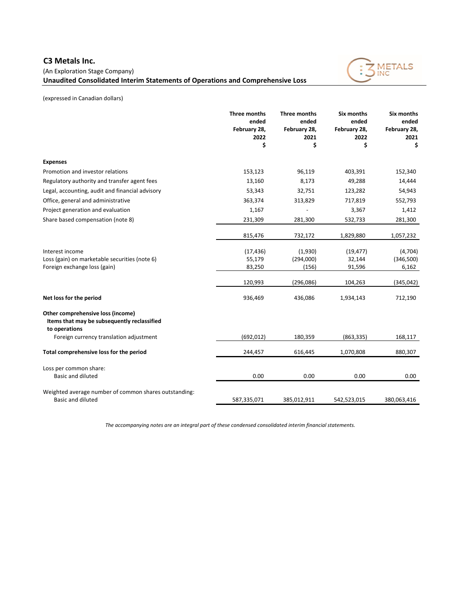# **C3 Metals Inc.**

(An Exploration Stage Company)

**Unaudited Consolidated Interim Statements of Operations and Comprehensive Loss**



(expressed in Canadian dollars)

|                                                                                                   | Three months<br>ended<br>February 28,<br>2022<br>\$ | <b>Three months</b><br>ended<br>February 28,<br>2021<br>\$ | Six months<br>ended<br>February 28,<br>2022<br>\$ | Six months<br>ended<br>February 28,<br>2021<br>\$ |
|---------------------------------------------------------------------------------------------------|-----------------------------------------------------|------------------------------------------------------------|---------------------------------------------------|---------------------------------------------------|
| <b>Expenses</b>                                                                                   |                                                     |                                                            |                                                   |                                                   |
| Promotion and investor relations                                                                  | 153,123                                             | 96,119                                                     | 403,391                                           | 152,340                                           |
| Regulatory authority and transfer agent fees                                                      | 13,160                                              | 8,173                                                      | 49,288                                            | 14,444                                            |
| Legal, accounting, audit and financial advisory                                                   | 53,343                                              | 32,751                                                     | 123,282                                           | 54,943                                            |
| Office, general and administrative                                                                | 363,374                                             | 313,829                                                    | 717,819                                           | 552,793                                           |
| Project generation and evaluation                                                                 | 1,167                                               |                                                            | 3,367                                             | 1,412                                             |
| Share based compensation (note 8)                                                                 | 231,309                                             | 281,300                                                    | 532,733                                           | 281,300                                           |
|                                                                                                   | 815,476                                             | 732,172                                                    | 1,829,880                                         | 1,057,232                                         |
| Interest income                                                                                   | (17, 436)                                           | (1,930)                                                    | (19, 477)                                         | (4,704)                                           |
| Loss (gain) on marketable securities (note 6)                                                     | 55,179                                              | (294,000)                                                  | 32,144                                            | (346,500)                                         |
| Foreign exchange loss (gain)                                                                      | 83,250                                              | (156)                                                      | 91,596                                            | 6,162                                             |
|                                                                                                   | 120,993                                             | (296, 086)                                                 | 104,263                                           | (345, 042)                                        |
| Net loss for the period                                                                           | 936,469                                             | 436,086                                                    | 1,934,143                                         | 712,190                                           |
| Other comprehensive loss (income)<br>Items that may be subsequently reclassified<br>to operations |                                                     |                                                            |                                                   |                                                   |
| Foreign currency translation adjustment                                                           | (692, 012)                                          | 180,359                                                    | (863, 335)                                        | 168,117                                           |
| Total comprehensive loss for the period                                                           | 244,457                                             | 616,445                                                    | 1,070,808                                         | 880,307                                           |
| Loss per common share:<br><b>Basic and diluted</b>                                                | 0.00                                                | 0.00                                                       | 0.00                                              | 0.00                                              |
|                                                                                                   |                                                     |                                                            |                                                   |                                                   |
| Weighted average number of common shares outstanding:<br><b>Basic and diluted</b>                 | 587,335,071                                         | 385,012,911                                                | 542,523,015                                       | 380,063,416                                       |

*The accompanying notes are an integral part of these condensed consolidated interim financial statements.*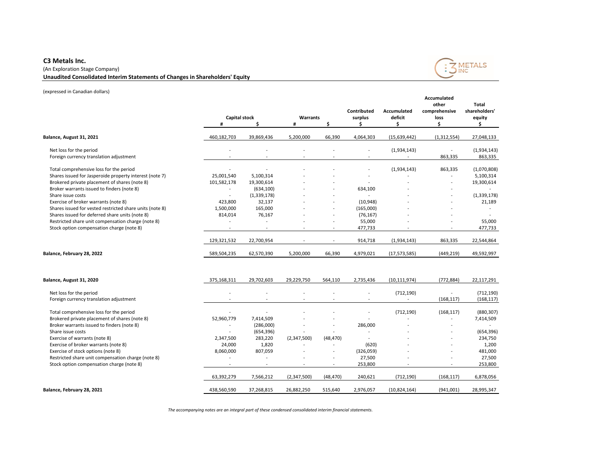# **C3 Metals Inc.**

# (An Exploration Stage Company) **Unaudited Consolidated Interim Statements of Changes in Shareholders' Equity**



(expressed in Canadian dollars)

|                                                                            | Capital stock<br>#       | \$.                      | Warrants<br># | \$.                      | Contributed<br>surplus<br>Ś | Accumulated<br>deficit<br>Ŝ. | Accumulated<br>other<br>comprehensive<br>loss<br>\$ | <b>Total</b><br>shareholders'<br>equity<br>\$. |
|----------------------------------------------------------------------------|--------------------------|--------------------------|---------------|--------------------------|-----------------------------|------------------------------|-----------------------------------------------------|------------------------------------------------|
| Balance, August 31, 2021                                                   | 460,182,703              | 39,869,436               | 5,200,000     | 66,390                   | 4,064,303                   | (15, 639, 442)               | (1, 312, 554)                                       | 27,048,133                                     |
| Net loss for the period                                                    |                          |                          |               |                          | ÷                           | (1,934,143)                  | ÷                                                   | (1,934,143)                                    |
| Foreign currency translation adjustment                                    |                          |                          |               |                          | $\overline{a}$              |                              | 863,335                                             | 863,335                                        |
| Total comprehensive loss for the period                                    | $\overline{\phantom{a}}$ |                          |               |                          | $\overline{a}$              | (1,934,143)                  | 863,335                                             | (1,070,808)                                    |
| Shares issued for Jasperoide property interest (note 7)                    | 25,001,540               | 5,100,314                |               |                          |                             |                              |                                                     | 5,100,314                                      |
| Brokered private placement of shares (note 8)                              | 101,582,178              | 19,300,614               |               |                          |                             |                              | $\overline{a}$                                      | 19,300,614                                     |
| Broker warrants issued to finders (note 8)                                 | $\overline{a}$           | (634, 100)               |               |                          | 634,100                     |                              |                                                     |                                                |
| Share issue costs                                                          | $\overline{\phantom{a}}$ | (1,339,178)              |               |                          | $\overline{a}$              |                              |                                                     | (1, 339, 178)                                  |
| Exercise of broker warrants (note 8)                                       | 423,800                  | 32,137                   |               |                          | (10, 948)                   |                              |                                                     | 21,189                                         |
| Shares issued for vested restricted share units (note 8)                   | 1,500,000                | 165,000                  |               |                          | (165,000)                   |                              |                                                     | $\overline{\phantom{a}}$                       |
| Shares issued for deferred share units (note 8)                            | 814,014                  | 76,167                   |               | $\overline{a}$           | (76, 167)                   |                              | ÷                                                   |                                                |
| Restricted share unit compensation charge (note 8)                         | $\overline{\phantom{a}}$ | $\overline{a}$           |               | ÷,                       | 55,000                      |                              | $\overline{\phantom{a}}$                            | 55,000                                         |
| Stock option compensation charge (note 8)                                  | $\sim$                   | $\overline{\phantom{a}}$ |               | $\overline{\phantom{a}}$ | 477,733                     |                              |                                                     | 477,733                                        |
|                                                                            | 129,321,532              | 22,700,954               |               |                          | 914,718                     | (1,934,143)                  | 863,335                                             | 22,544,864                                     |
| Balance, February 28, 2022                                                 | 589,504,235              | 62,570,390               | 5,200,000     | 66,390                   | 4,979,021                   | (17, 573, 585)               | (449, 219)                                          | 49,592,997                                     |
| Balance, August 31, 2020                                                   | 375,168,311              | 29,702,603               | 29,229,750    | 564,110                  | 2,735,436                   | (10, 111, 974)               | (772, 884)                                          | 22,117,291                                     |
| Net loss for the period                                                    |                          |                          |               |                          | ÷                           | (712, 190)                   |                                                     | (712, 190)                                     |
| Foreign currency translation adjustment                                    | $\overline{a}$           |                          |               |                          | $\overline{a}$              | $\overline{\phantom{a}}$     | (168, 117)                                          | (168, 117)                                     |
|                                                                            |                          |                          |               |                          |                             |                              |                                                     |                                                |
| Total comprehensive loss for the period                                    | $\overline{a}$           |                          |               |                          | ÷                           | (712, 190)                   | (168, 117)                                          | (880, 307)                                     |
| Brokered private placement of shares (note 8)                              | 52,960,779               | 7,414,509                |               |                          |                             |                              | $\overline{a}$                                      | 7,414,509                                      |
| Broker warrants issued to finders (note 8)                                 | $\overline{a}$           | (286,000)                |               | $\overline{a}$           | 286,000                     |                              | $\sim$                                              | $\overline{\phantom{a}}$                       |
| Share issue costs                                                          |                          | (654, 396)               |               |                          |                             |                              |                                                     | (654, 396)                                     |
| Exercise of warrants (note 8)                                              | 2,347,500                | 283,220                  | (2,347,500)   | (48, 470)                | $\overline{a}$              |                              | $\overline{\phantom{a}}$                            | 234,750                                        |
| Exercise of broker warrants (note 8)<br>Exercise of stock options (note 8) | 24,000<br>8,060,000      | 1,820<br>807,059         |               | $\overline{a}$<br>Ĭ.     | (620)<br>(326,059)          |                              | ÷                                                   | 1,200<br>481,000                               |
| Restricted share unit compensation charge (note 8)                         | $\overline{a}$           |                          |               |                          | 27,500                      |                              |                                                     | 27,500                                         |
| Stock option compensation charge (note 8)                                  | $\overline{\phantom{a}}$ | $\overline{a}$           |               |                          | 253,800                     |                              |                                                     | 253,800                                        |
|                                                                            |                          |                          |               |                          |                             |                              |                                                     |                                                |
|                                                                            | 63,392,279               | 7,566,212                | (2,347,500)   | (48, 470)                | 240,621                     | (712, 190)                   | (168, 117)                                          | 6,878,056                                      |
| Balance, February 28, 2021                                                 | 438,560,590              | 37,268,815               | 26,882,250    | 515,640                  | 2,976,057                   | (10,824,164)                 | (941,001)                                           | 28,995,347                                     |

*The accompanying notes are an integral part of these condensed consolidated interim financial statements.*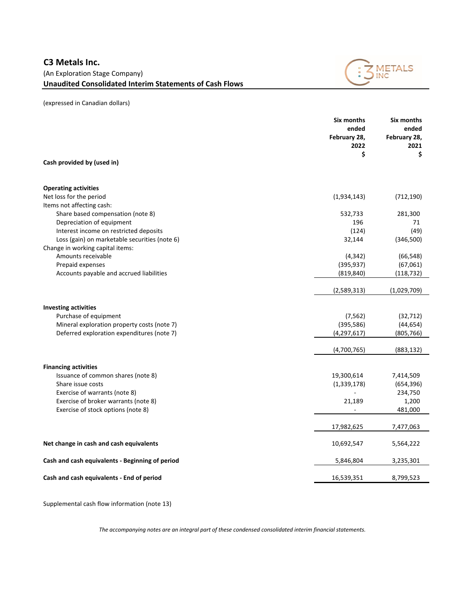

|                                                 | Six months<br>ended<br>February 28,<br>2022<br>\$ | <b>Six months</b><br>ended<br>February 28,<br>2021<br>\$ |
|-------------------------------------------------|---------------------------------------------------|----------------------------------------------------------|
| Cash provided by (used in)                      |                                                   |                                                          |
| <b>Operating activities</b>                     |                                                   |                                                          |
| Net loss for the period                         | (1,934,143)                                       | (712, 190)                                               |
| Items not affecting cash:                       |                                                   |                                                          |
| Share based compensation (note 8)               | 532,733                                           | 281,300                                                  |
| Depreciation of equipment                       | 196                                               | 71                                                       |
| Interest income on restricted deposits          | (124)                                             | (49)                                                     |
| Loss (gain) on marketable securities (note 6)   | 32,144                                            | (346,500)                                                |
| Change in working capital items:                |                                                   |                                                          |
| Amounts receivable                              | (4, 342)                                          | (66, 548)                                                |
| Prepaid expenses                                | (395, 937)                                        | (67,061)                                                 |
| Accounts payable and accrued liabilities        | (819, 840)                                        | (118, 732)                                               |
|                                                 | (2,589,313)                                       | (1,029,709)                                              |
| <b>Investing activities</b>                     |                                                   |                                                          |
| Purchase of equipment                           | (7, 562)                                          | (32, 712)                                                |
| Mineral exploration property costs (note 7)     | (395, 586)                                        | (44, 654)                                                |
| Deferred exploration expenditures (note 7)      | (4, 297, 617)                                     | (805, 766)                                               |
|                                                 | (4,700,765)                                       | (883, 132)                                               |
| <b>Financing activities</b>                     |                                                   |                                                          |
| Issuance of common shares (note 8)              | 19,300,614                                        | 7,414,509                                                |
| Share issue costs                               | (1, 339, 178)                                     | (654, 396)                                               |
| Exercise of warrants (note 8)                   |                                                   | 234,750                                                  |
| Exercise of broker warrants (note 8)            | 21,189                                            | 1,200                                                    |
| Exercise of stock options (note 8)              |                                                   | 481,000                                                  |
|                                                 | 17,982,625                                        | 7,477,063                                                |
| Net change in cash and cash equivalents         | 10,692,547                                        | 5,564,222                                                |
| Cash and cash equivalents - Beginning of period | 5,846,804                                         | 3,235,301                                                |
| Cash and cash equivalents - End of period       | 16,539,351                                        | 8,799,523                                                |

Supplemental cash flow information (note 13)

*The accompanying notes are an integral part of these condensed consolidated interim financial statements.*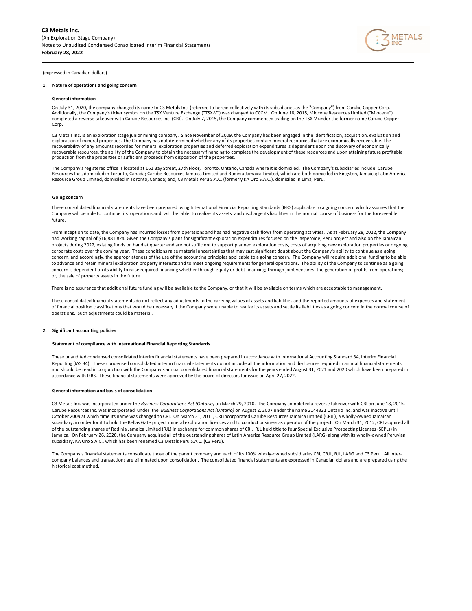

## **1. Nature of operations and going concern**

#### **General information**

On July 31, 2020, the company changed its name to C3 Metals Inc. (referred to herein collectively with its subsidiaries as the "Company") from Carube Copper Corp. Additionally, the Company's ticker symbol on the TSX Venture Exchange ("TSX-V") was changed to CCCM. On June 18, 2015, Miocene Resources Limited ("Miocene")<br>completed a reverse takeover with Carube Resources Inc. (CRI). Corp.

C3 Metals Inc. is an exploration stage junior mining company. Since November of 2009, the Company has been engaged in the identification, acquisition, evaluation and exploration of mineral properties. The Company has not determined whether any of its properties contain mineral resources that are economically recoverable. The recoverability of any amounts recorded for mineral exploration properties and deferred exploration expenditures is dependent upon the discovery of economically recoverable resources, the ability of the Company to obtain the necessary financing to complete the development of these resources and upon attaining future profitable production from the properties or sufficient proceeds from disposition of the properties.

The Company's registered office is located at 161 Bay Street, 27th Floor, Toronto, Ontario, Canada where it is domiciled. The Company's subsidiaries include: Carube<br>Resources Inc., domiciled in Toronto, Canada; Carube Reso Resource Group Limited, domiciled in Toronto, Canada; and, C3 Metals Peru S.A.C. (formerly KA Oro S.A.C.), domiciled in Lima, Peru.

#### **Going concern**

These consolidated financial statements have been prepared using International Financial Reporting Standards (IFRS) applicable to a going concern which assumes that the Company will be able to continue its operations and will be able to realize its assets and discharge its liabilities in the normal course of business for the foreseeable future.

From inception to date, the Company has incurred losses from operations and has had negative cash flows from operating activities. As at February 28, 2022, the Company had working capital of \$16,881,824. Given the Company's plans for significant exploration expenditures focused on the Jasperoide. Peru project and also on the Jamaican projects during 2022, existing funds on hand at quarter end are not sufficient to support planned exploration costs, costs of acquiring new exploration properties or ongoing corporate costs over the coming year. These conditions raise material uncertainties that may cast significant doubt about the Company's ability to continue as a going concern, and accordingly, the appropriateness of the use of the accounting principles applicable to a going concern. The Company will require additional funding to be able to advance and retain mineral exploration property interests and to meet ongoing requirements for general operations. The ability of the Company to continue as a going concern is dependent on its ability to raise required financing whether through equity or debt financing; through joint ventures; the generation of profits from operations; or, the sale of property assets in the future.

There is no assurance that additional future funding will be available to the Company, or that it will be available on terms which are acceptable to management.

These consolidated financial statements do not reflect any adjustments to the carrying values of assets and liabilities and the reported amounts of expenses and statement of financial position classifications that would be necessary if the Company were unable to realize its assets and settle its liabilities as a going concern in the normal course of operations. Such adjustments could be material.

## **2. Significant accounting policies**

#### **Statement of compliance with International Financial Reporting Standards**

These unaudited condensed consolidated interim financial statements have been prepared in accordance with International Accounting Standard 34, Interim Financial Reporting (IAS 34). These condensed consolidated interim financial statements do not include all the information and disclosures required in annual financial statements and should be read in conjunction with the Company's annual consolidated financial statements for the years ended August 31, 2021 and 2020 which have been prepared in accordance with IFRS. These financial statements were approved by the board of directors for issue on April 27, 2022.

#### **General information and basis of consolidation**

 C3 Metals Inc. was incorporated under the *Business Corporations Act (Ontario)* on March 29, 2010. The Company completed a reverse takeover with CRI on June 18, 2015. Carube Resources Inc. was incorporated under the *Business Corporations Act (Ontario)* on August 2, 2007 under the name 2144321 Ontario Inc. and was inactive until October 2009 at which time its name was changed to CRI. On March 31, 2011, CRI incorporated Carube Resources Jamaica Limited (CRJL), a wholly-owned Jamaican subsidiary, in order for it to hold the Bellas Gate project mineral exploration licences and to conduct business as operator of the project. On March 31, 2012, CRI acquired all of the outstanding shares of Rodinia Jamaica Limited (RJL) in exchange for common shares of CRI. RJL held title to four Special Exclusive Prospecting Licenses (SEPLs) in Jamaica. On February 26, 2020, the Company acquired all of the outstanding shares of Latin America Resource Group Limited (LARG) along with its wholly-owned Peruvian subsidiary, KA Oro S.A.C., which has been renamed C3 Metals Peru S.A.C. (C3 Peru).

The Company's financial statements consolidate those of the parent company and each of its 100% wholly-owned subsidiaries CRI, CRJL, RJL, LARG and C3 Peru. All inter company balances and transactions are eliminated upon consolidation. The consolidated financial statements are expressed in Canadian dollars and are prepared using the historical cost method.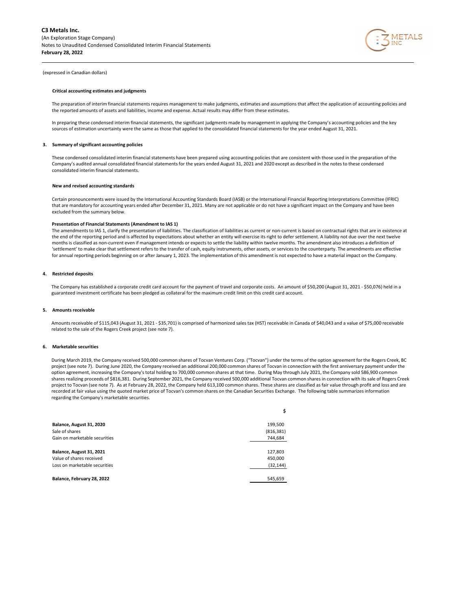

#### **Critical accounting estimates and judgments**

The preparation of interim financial statements requires management to make judgments, estimates and assumptions that affect the application of accounting policies and the reported amounts of assets and liabilities, income and expense. Actual results may differ from these estimates.

In preparing these condensed interim financial statements, the significant judgments made by management in applying the Company's accounting policies and the key sources of estimation uncertainty were the same as those that applied to the consolidated financial statements for the year ended August 31, 2021.

## **3. Summary of significant accounting policies**

These condensed consolidated interim financial statements have been prepared using accounting policies that are consistent with those used in the preparation of the Company's audited annual consolidated financial statements for the years ended August 31, 2021 and 2020 except as described in the notes to these condensed consolidated interim financial statements.

### **New and revised accounting standards**

Certain pronouncements were issued by the International Accounting Standards Board (IASB) or the International Financial Reporting Interpretations Committee (IFRIC) that are mandatory for accounting years ended after December 31, 2021. Many are not applicable or do not have a significant impact on the Company and have been excluded from the summary below.

#### **Presentation of Financial Statements (Amendment to IAS 1)**

The amendments to IAS 1, clarify the presentation of liabilities. The classification of liabilities as current or non-current is based on contractual rights that are in existence at the end of the reporting period and is affected by expectations about whether an entity will exercise its right to defer settlement. A liability not due over the next twelve months is classified as non-current even if management intends or expects to settle the liability within twelve months. The amendment also introduces a definition of 'settlement' to make clear that settlement refers to the transfer of cash, equity instruments, other assets, or services to the counterparty. The amendments are effective for annual reporting periods beginning on or after January 1, 2023. The implementation of this amendment is not expected to have a material impact on the Company.

## **4. Restricted deposits**

The Company has established a corporate credit card account for the payment of travel and corporate costs. An amount of \$50,200 (August 31, 2021 - \$50,076) held in a guaranteed investment certificate has been pledged as collateral for the maximum credit limit on this credit card account.

#### **5. Amounts receivable**

Amounts receivable of \$115,043 (August 31, 2021 - \$35,701) is comprised of harmonized sales tax (HST) receivable in Canada of \$40,043 and a value of \$75,000 receivable related to the sale of the Rogers Creek project (see note 7).

#### **6. Marketable securities**

During March 2019, the Company received 500,000 common shares of Tocvan Ventures Corp. ("Tocvan") under the terms of the option agreement for the Rogers Creek, BC project (see note 7). During June 2020, the Company received an additional 200,000 common shares of Tocvan in connection with the first anniversary payment under the option agreement, increasing the Company's total holding to 700,000 common shares at that time. During May through July 2021, the Company sold 586,900 common shares realizing proceeds of \$816,381. During September 2021, the Company received 500,000 additional Tocvan common shares in connection with its sale of Rogers Creek project to Tocvan (see note 7). As at February 28, 2022, the Company held 613,100 common shares. These shares are classified as fair value through profit and loss and are recorded at fair value using the quoted market price of Tocvan's common shares on the Canadian Securities Exchange. The following table summarizes information regarding the Company's marketable securities.

|                               | \$         |
|-------------------------------|------------|
| Balance, August 31, 2020      | 199,500    |
| Sale of shares                | (816, 381) |
| Gain on marketable securities | 744,684    |
| Balance, August 31, 2021      | 127,803    |
| Value of shares received      | 450,000    |
| Loss on marketable securities | (32, 144)  |
| Balance, February 28, 2022    | 545,659    |
|                               |            |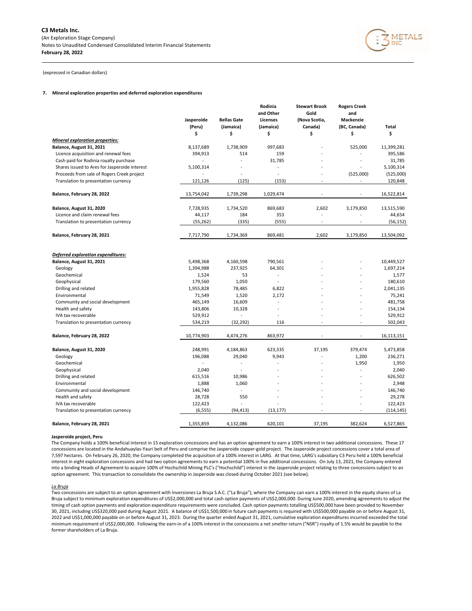

## **7. Mineral exploration properties and deferred exploration expenditures**

|                                                   | Jasperoide<br>(Peru) | <b>Bellas Gate</b><br>(Jamaica) | Rodinia<br>and Other<br>Licenses<br>(Jamaica) | <b>Stewart Brook</b><br>Gold<br>(Nova Scotia,<br>Canada) | <b>Rogers Creek</b><br>and<br><b>Mackenzie</b><br>(BC, Canada) | <b>Total</b>      |
|---------------------------------------------------|----------------------|---------------------------------|-----------------------------------------------|----------------------------------------------------------|----------------------------------------------------------------|-------------------|
|                                                   | \$                   | \$                              | \$                                            | \$                                                       | \$                                                             | \$                |
| <b>Mineral exploration properties:</b>            |                      |                                 |                                               |                                                          |                                                                |                   |
| Balance, August 31, 2021                          | 8,137,689            | 1,738,909                       | 997,683                                       |                                                          | 525,000                                                        | 11,399,281        |
| Licence acquisition and renewal fees              | 394,913              | 514                             | 159                                           |                                                          |                                                                | 395,586           |
| Cash paid for Rodinia royalty purchase            | $\overline{a}$       | $\sim$                          | 31,785                                        |                                                          | ä,                                                             | 31,785            |
| Shares issued to Ares for Jasperoide interest     | 5,100,314            |                                 | $\overline{a}$                                |                                                          | $\overline{\phantom{a}}$                                       | 5,100,314         |
| Proceeds from sale of Rogers Creek project        |                      |                                 | L.                                            |                                                          | (525,000)                                                      | (525,000)         |
| Translation to presentation currency              | 121,126              | (125)                           | (153)                                         | ÷,                                                       | $\overline{a}$                                                 | 120,848           |
| Balance, February 28, 2022                        | 13,754,042           | 1,739,298                       | 1,029,474                                     |                                                          |                                                                | 16,522,814        |
| Balance, August 31, 2020                          | 7,728,935            | 1,734,520                       | 869,683                                       | 2,602                                                    | 3,179,850                                                      | 13,515,590        |
| Licence and claim renewal fees                    | 44,117               | 184                             | 353                                           | L.                                                       |                                                                | 44,654            |
| Translation to presentation currency              | (55, 262)            | (335)                           | (555)                                         | $\overline{a}$                                           | $\overline{a}$                                                 | (56, 152)         |
| Balance, February 28, 2021                        | 7,717,790            | 1,734,369                       | 869,481                                       | 2,602                                                    | 3,179,850                                                      | 13,504,092        |
| Deferred exploration expenditures:                |                      |                                 |                                               |                                                          |                                                                |                   |
| Balance, August 31, 2021                          | 5,498,368            | 4,160,598                       | 790,561                                       |                                                          |                                                                | 10,449,527        |
| Geology                                           | 1,394,988            | 237,925                         | 64,301                                        |                                                          |                                                                | 1,697,214         |
| Geochemical                                       | 1,524                | 53                              | ä,<br>L.                                      |                                                          |                                                                | 1,577             |
| Geophysical                                       | 179,560              | 1,050                           |                                               |                                                          |                                                                | 180,610           |
| Drilling and related                              | 1,955,828            | 78,485                          | 6,822                                         |                                                          |                                                                | 2,041,135         |
| Environmental<br>Community and social development | 71,549<br>465,149    | 1,520<br>16,609                 | 2,172<br>$\overline{a}$                       |                                                          |                                                                | 75,241<br>481,758 |
| Health and safety                                 |                      |                                 |                                               |                                                          |                                                                | 154,134           |
| IVA tax recoverable                               | 143,806<br>529,912   | 10,328<br>$\overline{a}$        | L,                                            |                                                          |                                                                | 529,912           |
| Translation to presentation currency              | 534,219              | (32, 292)                       | 116                                           |                                                          |                                                                | 502,043           |
| Balance, February 28, 2022                        | 10,774,903           | 4,474,276                       | 863,972                                       |                                                          |                                                                | 16,113,151        |
| Balance, August 31, 2020                          | 248,991              | 4,184,863                       | 623,335                                       | 37,195                                                   | 379,474                                                        | 5,473,858         |
| Geology                                           | 196,088              | 29,040                          | 9,943                                         | L.                                                       | 1,200                                                          | 236,271           |
| Geochemical                                       |                      | $\blacksquare$                  |                                               |                                                          | 1,950                                                          | 1,950             |
| Geophysical                                       | 2,040                |                                 |                                               |                                                          |                                                                | 2,040             |
| Drilling and related                              | 615,516              | 10,986                          |                                               |                                                          |                                                                | 626,502           |
| Environmental                                     | 1,888                | 1,060                           |                                               |                                                          | $\overline{a}$                                                 | 2,948             |
| Community and social development                  | 146,740              | $\overline{a}$                  |                                               |                                                          |                                                                | 146,740           |
| Health and safety                                 | 28,728               | 550                             |                                               |                                                          |                                                                | 29,278            |
| IVA tax recoverable                               | 122,423              |                                 |                                               |                                                          |                                                                | 122,423           |
| Translation to presentation currency              | (6, 555)             | (94, 413)                       | (13, 177)                                     | $\overline{a}$                                           | ä,                                                             | (114, 145)        |
| Balance, February 28, 2021                        | 1,355,859            | 4,132,086                       | 620,101                                       | 37,195                                                   | 382,624                                                        | 6,527,865         |

#### **Jasperoide project, Peru**

The Company holds a 100% beneficial interest in 15 exploration concessions and has an option agreement to earn a 100% interest in two additional concessions. These 17 concessions are located in the Andahuaylas-Yauri belt of Peru and comprise the Jasperoide copper-gold project. The Jasperoide project concessions cover a total area of 7,597 hectares. On February 26, 2020, the Company completed the acquisition of a 100% interest in LARG. At that time, LARG's subsidiary C3 Peru held a 100% beneficial interest in eight exploration concessions and had two option agreements to earn a potential 100% in five additional concessions. On July 13, 2021, the Company entered into a binding Heads of Agreement to acquire 100% of Hochschild Mining PLC's ("Hochschild") interest in the Jasperoide project relating to three concessions subject to an option agreement. This transaction to consolidate the ownership in Jasperoide was closed during October 2021 (see below).

## *La Bruja*

Two concessions are subject to an option agreement with Inversiones La Bruja S.A.C. ("La Bruja"), where the Company can earn a 100% interest in the equity shares of La Bruja subject to minimum exploration expenditures of US\$2,000,000 and total cash option payments of US\$2,000,000. During June 2020, amending agreements to adjust the timing of cash option payments and exploration expenditure requirements were concluded. Cash option payments totalling US\$500,000 have been provided to November 30, 2021, including US\$320,000 paid during August 2021. A balance of US\$1,500,000 in future cash payments is required with US\$500,000 payable on or before August 31, 2022 and US\$1,000,000 payable on or before August 31, 2023. During the quarter ended August 31, 2021, cumulative exploration expenditures incurred exceeded the total minimum requirement of US\$2,000,000. Following the earn-in of a 100% interest in the concessions a net smelter return ("NSR") royalty of 1.5% would be payable to the former shareholders of La Bruja.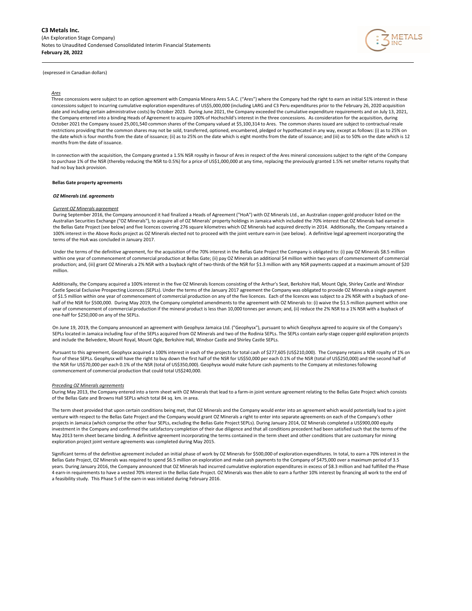

## *Ares*

Three concessions were subject to an option agreement with Compania Minera Ares S.A.C. ("Ares") where the Company had the right to earn an initial 51% interest in these concessions subject to incurring cumulative exploration expenditures of US\$5,000,000 (including LARG and C3 Peru expenditures prior to the February 26, 2020 acquisition date and including certain administrative costs) by October 2023. During June 2021, the Company exceeded the cumulative expenditure requirements and on July 13, 2021, the Company entered into a binding Heads of Agreement to acquire 100% of Hochschild's interest in the three concessions. As consideration for the acquisition, during October 2021 the Company issued 25,001,540 common shares of the Company valued at \$5,100,314 to Ares. The common shares issued are subject to contractual resale restrictions providing that the common shares may not be sold, transferred, optioned, encumbered, pledged or hypothecated in any way, except as follows: (i) as to 25% on the date which is four months from the date of issuance; (ii) as to 25% on the date which is eight months from the date of issuance; and (iii) as to 50% on the date which is 12 months from the date of issuance.

In connection with the acquisition, the Company granted a 1.5% NSR royalty in favour of Ares in respect of the Ares mineral concessions subject to the right of the Company to purchase 1% of the NSR (thereby reducing the NSR to 0.5%) for a price of US\$1,000,000 at any time, replacing the previously granted 1.5% net smelter returns royalty that had no buy back provision.

## **Bellas Gate property agreements**

### *OZ Minerals Ltd. agreements*

#### *Current OZ Minerals agreement*

During September 2016, the Company announced it had finalized a Heads of Agreement ("HoA") with OZ Minerals Ltd., an Australian copper-gold producer listed on the Australian Securities Exchange ("OZ Minerals"), to acquire all of OZ Minerals' property holdings in Jamaica which included the 70% interest that OZ Minerals had earned in the Bellas Gate Project (see below) and five licences covering 276 square kilometres which OZ Minerals had acquired directly in 2014. Additionally, the Company retained a 100% interest in the Above Rocks project as OZ Minerals elected not to proceed with the joint venture earn-in (see below). A definitive legal agreement incorporating the terms of the HoA was concluded in January 2017.

Under the terms of the definitive agreement, for the acquisition of the 70% interest in the Bellas Gate Project the Company is obligated to: (i) pay OZ Minerals \$8.5 million within one year of commencement of commercial production at Bellas Gate; (ii) pay OZ Minerals an additional \$4 million within two years of commencement of commercial production; and, (iii) grant OZ Minerals a 2% NSR with a buyback right of two-thirds of the NSR for \$1.3 million with any NSR payments capped at a maximum amount of \$20 million.

Additionally, the Company acquired a 100% interest in the five OZ Minerals licences consisting of the Arthur's Seat, Berkshire Hall, Mount Ogle, Shirley Castle and Windsor Castle Special Exclusive Prospecting Licences (SEPLs). Under the terms of the January 2017 agreement the Company was obligated to provide OZ Minerals a single payment of \$1.5 million within one year of commencement of commercial production on any of the five licences. Each of the licences was subject to a 2% NSR with a buyback of onehalf of the NSR for \$500,000. During May 2019, the Company completed amendments to the agreement with OZ Minerals to: (i) waive the \$1.5 million payment within one year of commencement of commercial production if the mineral product is less than 10,000 tonnes per annum; and, (ii) reduce the 2% NSR to a 1% NSR with a buyback of one-half for \$250,000 on any of the SEPLs.

On June 19, 2019, the Company announced an agreement with Geophysx Jamaica Ltd. ("Geophysx"), pursuant to which Geophysx agreed to acquire six of the Company's SEPLs located in Jamaica including four of the SEPLs acquired from OZ Minerals and two of the Rodinia SEPLs. The SEPLs contain early-stage copper-gold exploration projects and include the Belvedere, Mount Royal, Mount Ogle, Berkshire Hall, Windsor Castle and Shirley Castle SEPLs.

Pursuant to this agreement, Geophysx acquired a 100% interest in each of the projects for total cash of \$277,605 (US\$210,000). The Company retains a NSR royalty of 1% on four of these SEPLs. Geophysx will have the right to buy down the first half of the NSR for US\$50,000 per each 0.1% of the NSR (total of US\$250,000) and the second half of the NSR for US\$70,000 per each 0.1% of the NSR (total of US\$350,000). Geophysx would make future cash payments to the Company at milestones following commencement of commercial production that could total US\$240,000.

#### *Preceding OZ Minerals agreements*

During May 2013, the Company entered into a term sheet with OZ Minerals that lead to a farm-in joint venture agreement relating to the Bellas Gate Project which consists of the Bellas Gate and Browns Hall SEPLs which total 84 sq. km. in area.

The term sheet provided that upon certain conditions being met, that OZ Minerals and the Company would enter into an agreement which would potentially lead to a joint venture with respect to the Bellas Gate Project and the Company would grant OZ Minerals a right to enter into separate agreements on each of the Company's other projects in Jamaica (which comprise the other four SEPLs, excluding the Bellas Gate Project SEPLs). During January 2014, OZ Minerals completed a US\$900,000 equity investment in the Company and confirmed the satisfactory completion of their due diligence and that all conditions precedent had been satisfied such that the terms of the May 2013 term sheet became binding. A definitive agreement incorporating the terms contained in the term sheet and other conditions that are customary for mining exploration project joint venture agreements was completed during May 2015.

Significant terms of the definitive agreement included an initial phase of work by OZ Minerals for \$500,000 of exploration expenditures. In total, to earn a 70% interest in the Bellas Gate Project, OZ Minerals was required to spend \$6.5 million on exploration and make cash payments to the Company of \$475,000 over a maximum period of 3.5 years. During January 2016, the Company announced that OZ Minerals had incurred cumulative exploration expenditures in excess of \$8.3 million and had fulfilled the Phase 4 earn-in requirements to have a vested 70% interest in the Bellas Gate Project. OZ Minerals was then able to earn a further 10% interest by financing all work to the end of a feasibility study. This Phase 5 of the earn-in was initiated during February 2016.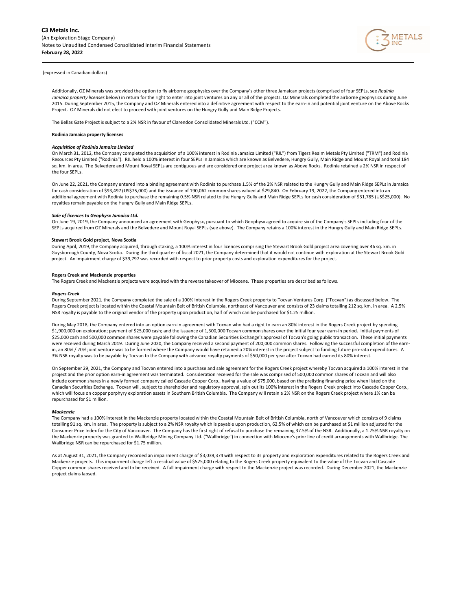

Additionally, OZ Minerals was provided the option to fly airborne geophysics over the Company's other three Jamaican projects (comprised of four SEPLs, see *Rodinia Jamaica property licenses* below) in return for the right to enter into joint ventures on any or all of the projects. OZ Minerals completed the airborne geophysics during June 2015. During September 2015, the Company and OZ Minerals entered into a definitive agreement with respect to the earn-in and potential joint venture on the Above Rocks Project. OZ Minerals did not elect to proceed with joint ventures on the Hungry Gully and Main Ridge Projects.

The Bellas Gate Project is subject to a 2% NSR in favour of Clarendon Consolidated Minerals Ltd. ("CCM").

#### **Rodinia Jamaica property licenses**

#### *Acquisition of Rodinia Jamaica Limited*

On March 31, 2012, the Company completed the acquisition of a 100% interest in Rodinia Jamaica Limited ("RJL") from Tigers Realm Metals Pty Limited ("TRM") and Rodinia Resources Pty Limited ("Rodinia"). RJL held a 100% interest in four SEPLs in Jamaica which are known as Belvedere, Hungry Gully, Main Ridge and Mount Royal and total 184 sq. km. in area. The Belvedere and Mount Royal SEPLs are contiguous and are considered one project area known as Above Rocks. Rodinia retained a 2% NSR in respect of the four SEPLs.

On June 22, 2021, the Company entered into a binding agreement with Rodinia to purchase 1.5% of the 2% NSR related to the Hungry Gully and Main Ridge SEPLs in Jamaica for cash consideration of \$93,497 (US\$75,000) and the issuance of 190,062 common shares valued at \$29,840. On February 19, 2022, the Company entered into an additional agreement with Rodinia to purchase the remaining 0.5% NSR related to the Hungry Gully and Main Ridge SEPLs for cash consideration of \$31,785 (US\$25,000). No royalties remain payable on the Hungry Gully and Main Ridge SEPLs.

#### *Sale of licences to Geophysx Jamaica Ltd.*

On June 19, 2019, the Company announced an agreement with Geophysx, pursuant to which Geophysx agreed to acquire six of the Company's SEPLs including four of the SEPLs acquired from OZ Minerals and the Belvedere and Mount Royal SEPLs (see above). The Company retains a 100% interest in the Hungry Gully and Main Ridge SEPLs.

#### **Stewart Brook Gold project, Nova Scotia**

During April, 2019, the Company acquired, through staking, a 100% interest in four licences comprising the Stewart Brook Gold project area covering over 46 sq. km. in Guysborough County, Nova Scotia. During the third quarter of fiscal 2021, the Company determined that it would not continue with exploration at the Stewart Brook Gold project. An impairment charge of \$39,797 was recorded with respect to prior property costs and exploration expenditures for the project.

#### **Rogers Creek and Mackenzie properties**

The Rogers Creek and Mackenzie projects were acquired with the reverse takeover of Miocene. These properties are described as follows.

#### *Rogers Creek*

During September 2021, the Company completed the sale of a 100% interest in the Rogers Creek property to Tocvan Ventures Corp. ("Tocvan") as discussed below. The Rogers Creek project is located within the Coastal Mountain Belt of British Columbia, northeast of Vancouver and consists of 23 claims totalling 212 sq. km. in area. A 2.5% NSR royalty is payable to the original vendor of the property upon production, half of which can be purchased for \$1.25 million.

During May 2018, the Company entered into an option earn-in agreement with Tocvan who had a right to earn an 80% interest in the Rogers Creek project by spending \$1,900,000 on exploration; payment of \$25,000 cash; and the issuance of 1,300,000 Tocvan common shares over the initial four year earn-in period. Initial payments of \$25,000 cash and 500,000 common shares were payable following the Canadian Securities Exchange's approval of Tocvan's going public transaction. These initial payments were received during March 2019. During June 2020, the Company received a second payment of 200,000 common shares. Following the successful completion of the earnin, an 80% / 20% joint venture was to be formed where the Company would have retained a 20% interest in the project subject to funding future pro-rata expenditures. A 3% NSR royalty was to be payable by Tocvan to the Company with advance royalty payments of \$50,000 per year after Tocvan had earned its 80% interest.

On September 29, 2021, the Company and Tocvan entered into a purchase and sale agreement for the Rogers Creek project whereby Tocvan acquired a 100% interest in the project and the prior option earn-in agreement was terminated. Consideration received for the sale was comprised of 500,000 common shares of Tocvan and will also include common shares in a newly formed company called Cascade Copper Corp., having a value of \$75,000, based on the prelisting financing price when listed on the Canadian Securities Exchange. Tocvan will, subject to shareholder and regulatory approval, spin out its 100% interest in the Rogers Creek project into Cascade Copper Corp., which will focus on copper porphyry exploration assets in Southern British Columbia. The Company will retain a 2% NSR on the Rogers Creek project where 1% can be repurchased for \$1 million.

#### *Mackenzie*

The Company had a 100% interest in the Mackenzie property located within the Coastal Mountain Belt of British Columbia, north of Vancouver which consists of 9 claims totalling 91 sq. km. in area. The property is subject to a 2% NSR royalty which is payable upon production, 62.5% of which can be purchased at \$1 million adjusted for the Consumer Price Index for the City of Vancouver. The Company has the first right of refusal to purchase the remaining 37.5% of the NSR. Additionally, a 1.75% NSR royalty on the Mackenzie property was granted to Wallbridge Mining Company Ltd. ("Wallbridge") in connection with Miocene's prior line of credit arrangements with Wallbridge. The Wallbridge NSR can be repurchased for \$1.75 million.

As at August 31, 2021, the Company recorded an impairment charge of \$3,039,374 with respect to its property and exploration expenditures related to the Rogers Creek and Mackenzie projects. This impairment charge left a residual value of \$525,000 relating to the Rogers Creek property equivalent to the value of the Tocvan and Cascade Copper common shares received and to be received. A full impairment charge with respect to the Mackenzie project was recorded. During December 2021, the Mackenzie project claims lapsed.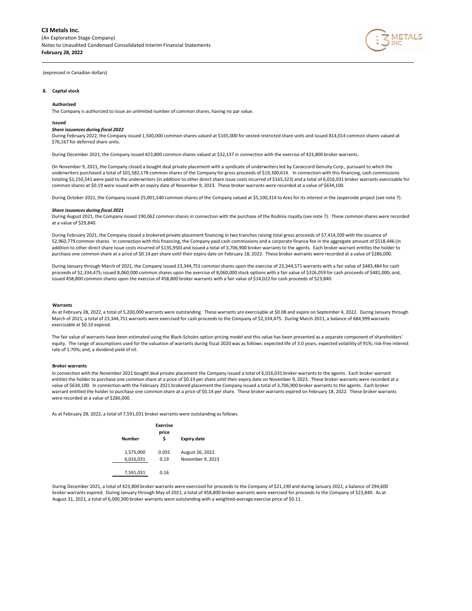

## **8. Capital stock**

#### **Authorized**

The Company is authorized to issue an unlimited number of common shares, having no par value.

#### **Issued**

#### *Share issuances during fiscal 2022*

During February 2022, the Company issued 1,500,000 common shares valued at \$165,000 for vested restricted share units and issued 814,014 common shares valued at \$76,167 for deferred share units.

During December 2021, the Company issued 423,800 common shares valued at \$32,137 in connection with the exercise of 423,800 broker warrants.

On November 9, 2021, the Company closed a bought deal private placement with a syndicate of underwriters led by Canaccord Genuity Corp., pursuant to which the underwriters purchased a total of 101,582,178 common shares of the Company for gross proceeds of \$19,300,614. In connection with this financing, cash commissions totaling \$1,150,541 were paid to the underwriters (in addition to other direct share issue costs incurred of \$165,323) and a total of 6,016,031 broker warrants exercisable for common shares at \$0.19 were issued with an expiry date of November 9, 2023. These broker warrants were recorded at a value of \$634,100.

During October 2021, the Company issued 25,001,540 common shares of the Company valued at \$5,100,314 to Ares for its interest in the Jasperoide project (see note 7).

#### *Share issuances during fiscal 2021*

During August 2021, the Company issued 190,062 common shares in connection with the purchase of the Rodinia royalty (see note 7). These common shares were recorded at a value of \$29,840.

During February 2021, the Company closed a brokered private placement financing in two tranches raising total gross proceeds of \$7,414,509 with the issuance of 52,960,779 common shares. In connection with this financing, the Company paid cash commissions and a corporate finance fee in the aggregate amount of \$518,446 (in addition to other direct share issue costs incurred of \$135,950) and issued a total of 3,706,900 broker warrants to the agents. Each broker warrant entitles the holder to purchase one common share at a price of \$0.14 per share until their expiry date on February 18, 2022. These broker warrants were recorded at a value of \$286,000.

During January through March of 2021, the Company issued 23,344,751 common shares upon the exercise of 23,344,571 warrants with a fair value of \$483,484 for cash proceeds of \$2,334,475; issued 8,060,000 common shares upon the exercise of 8,060,000 stock options with a fair value of \$326,059 for cash proceeds of \$481,000; and, issued 458,800 common shares upon the exercise of 458,800 broker warrants with a fair value of \$14,022 for cash proceeds of \$23,840.

#### **Warrants**

As at February 28, 2022, a total of 5,200,000 warrants were outstanding. These warrants are exercisable at \$0.08 and expire on September 4, 2022. During January through March of 2021, a total of 23,344,751 warrants were exercised for cash proceeds to the Company of \$2,334,475. During March 2021, a balance of 684,999 warrants exercisable at \$0.10 expired.

The fair value of warrants have been estimated using the Black-Scholes option pricing model and this value has been presented as a separate component of shareholders' equity. The range of assumptions used for the valuation of warrants during fiscal 2020 was as follows: expected life of 3.0 years; expected volatility of 91%; risk-free interest rate of 1.70%; and, a dividend yield of nil.

#### **Broker warrants**

In connection with the November 2021 bought deal private placement the Company issued a total of 6,016,031 broker warrants to the agents. Each broker warrant entitles the holder to purchase one common share at a price of \$0.19 per share until their expiry date on November 9, 2023. These broker warrants were recorded at a value of \$634,100. In connection with the February 2021 brokered placement the Company issued a total of 3,706,900 broker warrants to the agents. Each broker warrant entitled the holder to purchase one common share at a price of \$0.14 per share. These broker warrants expired on February 18, 2022. These broker warrants were recorded at a value of \$286,000.

As at February 28, 2022, a total of 7,591,031 broker warrants were outstanding as follows.



During December 2021, a total of 423,800 broker warrants were exercised for proceeds to the Company of \$21,190 and during January 2022, a balance of 294,600 broker warrants expired. During January through May of 2021, a total of 458,800 broker warrants were exercised for proceeds to the Company of \$23,840. As at August 31, 2021, a total of 6,000,300 broker warrants were outstanding with a weighted-average exercise price of \$0.11.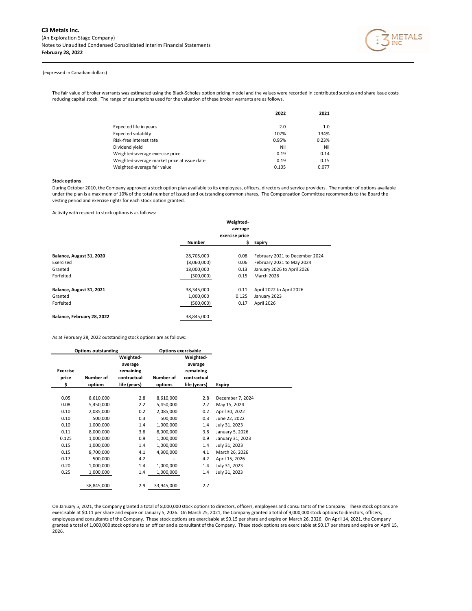

The fair value of broker warrants was estimated using the Black-Scholes option pricing model and the values were recorded in contributed surplus and share issue costs reducing capital stock. The range of assumptions used for the valuation of these broker warrants are as follows.

|                                             | 2022  | 2021  |
|---------------------------------------------|-------|-------|
| Expected life in years                      | 2.0   | 1.0   |
| <b>Expected volatility</b>                  | 107%  | 134%  |
| Risk-free interest rate                     | 0.95% | 0.23% |
| Dividend yield                              | Nil   | Nil   |
| Weighted-average exercise price             | 0.19  | 0.14  |
| Weighted-average market price at issue date | 0.19  | 0.15  |
| Weighted-average fair value                 | 0.105 | 0.077 |

## **Stock options**

During October 2010, the Company approved a stock option plan available to its employees, officers, directors and service providers. The number of options available under the plan is a maximum of 10% of the total number of issued and outstanding common shares. The Compensation Committee recommends to the Board the vesting period and exercise rights for each stock option granted.

Activity with respect to stock options is as follows:

|                            |               | Weighted-      |                                |
|----------------------------|---------------|----------------|--------------------------------|
|                            |               | average        |                                |
|                            |               | exercise price |                                |
|                            | <b>Number</b> | \$             | <b>Expiry</b>                  |
|                            |               |                |                                |
| Balance, August 31, 2020   | 28,705,000    | 0.08           | February 2021 to December 2024 |
| Exercised                  | (8,060,000)   | 0.06           | February 2021 to May 2024      |
| Granted                    | 18,000,000    | 0.13           | January 2026 to April 2026     |
| Forfeited                  | (300,000)     | 0.15           | <b>March 2026</b>              |
| Balance, August 31, 2021   | 38,345,000    | 0.11           | April 2022 to April 2026       |
| Granted                    | 1,000,000     | 0.125          | January 2023                   |
| Forfeited                  | (500,000)     | 0.17           | April 2026                     |
| Balance, February 28, 2022 | 38,845,000    |                |                                |

As at February 28, 2022 outstanding stock options are as follows:

|                                | <b>Options outstanding</b> |                                                                  |                      | <b>Options exercisable</b>                                       |                  |
|--------------------------------|----------------------------|------------------------------------------------------------------|----------------------|------------------------------------------------------------------|------------------|
| <b>Exercise</b><br>price<br>\$ | Number of<br>options       | Weighted-<br>average<br>remaining<br>contractual<br>life (years) | Number of<br>options | Weighted-<br>average<br>remaining<br>contractual<br>life (years) | Expiry           |
|                                |                            |                                                                  |                      |                                                                  |                  |
| 0.05                           | 8,610,000                  | 2.8                                                              | 8,610,000            | 2.8                                                              | December 7, 2024 |
| 0.08                           | 5,450,000                  | 2.2                                                              | 5,450,000            | 2.2                                                              | May 15, 2024     |
| 0.10                           | 2,085,000                  | 0.2                                                              | 2,085,000            | 0.2                                                              | April 30, 2022   |
| 0.10                           | 500,000                    | 0.3                                                              | 500,000              | 0.3                                                              | June 22, 2022    |
| 0.10                           | 1,000,000                  | 1.4                                                              | 1,000,000            | 1.4                                                              | July 31, 2023    |
| 0.11                           | 8,000,000                  | 3.8                                                              | 8,000,000            | 3.8                                                              | January 5, 2026  |
| 0.125                          | 1,000,000                  | 0.9                                                              | 1,000,000            | 0.9                                                              | January 31, 2023 |
| 0.15                           | 1,000,000                  | 1.4                                                              | 1,000,000            | 1.4                                                              | July 31, 2023    |
| 0.15                           | 8,700,000                  | 4.1                                                              | 4,300,000            | 4.1                                                              | March 26, 2026   |
| 0.17                           | 500,000                    | 4.2                                                              |                      | 4.2                                                              | April 15, 2026   |
| 0.20                           | 1,000,000                  | 1.4                                                              | 1,000,000            | 1.4                                                              | July 31, 2023    |
| 0.25                           | 1,000,000                  | 1.4                                                              | 1,000,000            | 1.4                                                              | July 31, 2023    |
|                                | 38,845,000                 | 2.9                                                              | 33,945,000           | 2.7                                                              |                  |

On January 5, 2021, the Company granted a total of 8,000,000 stock options to directors, officers, employees and consultants of the Company. These stock options are exercisable at \$0.11 per share and expire on January 5, 2026. On March 25, 2021, the Company granted a total of 9,000,000 stock options to directors, officers, employees and consultants of the Company. These stock options are exercisable at \$0.15 per share and expire on March 26, 2026. On April 14, 2021, the Company granted a total of 1,000,000 stock options to an officer and a consultant of the Company. These stock options are exercisable at \$0.17 per share and expire on April 15, 2026.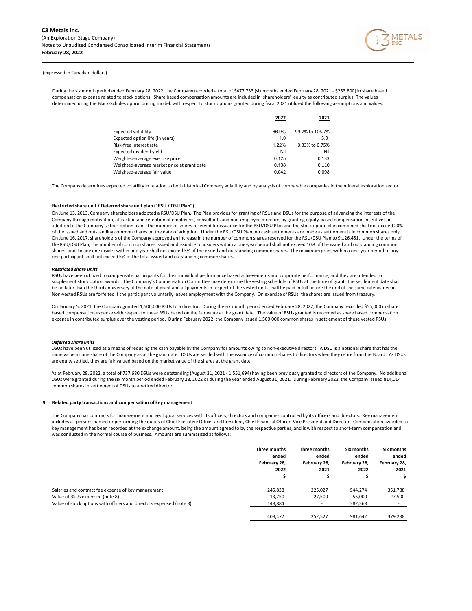

During the six month period ended February 28, 2022, the Company recorded a total of \$477,733 (six months ended February 28, 2021 - \$253,800) in share based compensation expense related to stock options. Share based compensation amounts are included in shareholders' equity as contributed surplus. The values determined using the Black-Scholes option pricing model, with respect to stock options granted during fiscal 2021 utilized the following assumptions and values.

|                                             | 2022  | 2021            |
|---------------------------------------------|-------|-----------------|
| Expected volatility                         | 66.9% | 99.7% to 106.7% |
| Expected option life (in years)             | 1.0   | 5.0             |
| Risk-free interest rate                     | 1.22% | 0.33% to 0.75%  |
| Expected dividend vield                     | Nil   | Nil             |
| Weighted-average exercise price             | 0.125 | 0.133           |
| Weighted-average market price at grant date | 0.138 | 0.110           |
| Weighted-average fair value                 | 0.042 | 0.098           |

The Company determines expected volatility in relation to both historical Company volatility and by analysis of comparable companies in the mineral exploration sector.

## **Restricted share unit / Deferred share unit plan ("RSU / DSU Plan")**

On June 13, 2013, Company shareholders adopted a RSU/DSU Plan. The Plan provides for granting of RSUs and DSUs for the purpose of advancing the interests of the Company through motivation, attraction and retention of employees, consultants and non-employee directors by granting equity-based compensation incentives, in addition to the Company's stock option plan. The number of shares reserved for issuance for the RSU/DSU Plan and the stock option plan combined shall not exceed 20% of the issued and outstanding common shares on the date of adoption. Under the RSU/DSU Plan, no cash settlements are made as settlement is in common shares only. On June 16, 2017, shareholders of the Company approved an increase in the number of common shares reserved for the RSU/DSU Plan to 9,126,451. Under the terms of the RSU/DSU Plan, the number of common shares issued and issuable to insiders within a one-year period shall not exceed 10% of the issued and outstanding common shares; and, to any one insider within one year shall not exceed 5% of the issued and outstanding common shares. The maximum grant within a one-year period to any one participant shall not exceed 5% of the total issued and outstanding common shares.

#### *Restricted share units*

RSUs have been utilized to compensate participants for their individual performance based achievements and corporate performance, and they are intended to supplement stock option awards. The Company's Compensation Committee may determine the vesting schedule of RSUs at the time of grant. The settlement date shall be no later than the third anniversary of the date of grant and all payments in respect of the vested units shall be paid in full before the end of the same calendar year. Non-vested RSUs are forfeited if the participant voluntarily leaves employment with the Company. On exercise of RSUs, the shares are issued from treasury.

On January 5, 2021, the Company granted 1,500,000 RSUs to a director. During the six month period ended February 28, 2022, the Company recorded \$55,000 in share based compensation expense with respect to these RSUs based on the fair value at the grant date. The value of RSUs granted is recorded as share based compensation expense in contributed surplus over the vesting period. During February 2022, the Company issued 1,500,000 common shares in settlement of these vested RSUs.

#### *Deferred share units*

DSUs have been utilized as a means of reducing the cash payable by the Company for amounts owing to non-executive directors. A DSU is a notional share that has the same value as one share of the Company as at the grant date. DSUs are settled with the issuance of common shares to directors when they retire from the Board. As DSUs are equity settled, they are fair valued based on the market value of the shares at the grant date.

As at February 28, 2022, a total of 737,680 DSUs were outstanding (August 31, 2021 - 1,551,694) having been previously granted to directors of the Company. No additional DSUs were granted during the six month period ended February 28, 2022 or during the year ended August 31, 2021. During February 2022, the Company issued 814,014 common shares in settlement of DSUs to a retired director.

#### **9. Related party transactions and compensation of key management**

The Company has contracts for management and geological services with its officers, directors and companies controlled by its officers and directors. Key management includes all persons named or performing the duties of Chief Executive Officer and President, Chief Financial Officer, Vice President and Director. Compensation awarded to key management has been recorded at the exchange amount, being the amount agreed to by the respective parties, and is with respect to short-term compensation and was conducted in the normal course of business. Amounts are summarized as follows:

|                                                                      | Three months<br>ended<br>February 28,<br>2022<br>Ś | Three months<br>ended<br>February 28,<br>2021<br>Ś | Six months<br>ended<br>February 28,<br>2022 | Six months<br>ended<br>February 28,<br>2021<br>\$ |
|----------------------------------------------------------------------|----------------------------------------------------|----------------------------------------------------|---------------------------------------------|---------------------------------------------------|
| Salaries and contract fee expense of key management                  | 245,838                                            | 225,027                                            | 544.274                                     | 351,788                                           |
| Value of RSUs expensed (note 8)                                      | 13,750                                             | 27,500                                             | 55,000                                      | 27,500                                            |
| Value of stock options with officers and directors expensed (note 8) | 148,884                                            |                                                    | 382,368                                     |                                                   |
|                                                                      | 408.472                                            | 252.527                                            | 981.642                                     | 379,288                                           |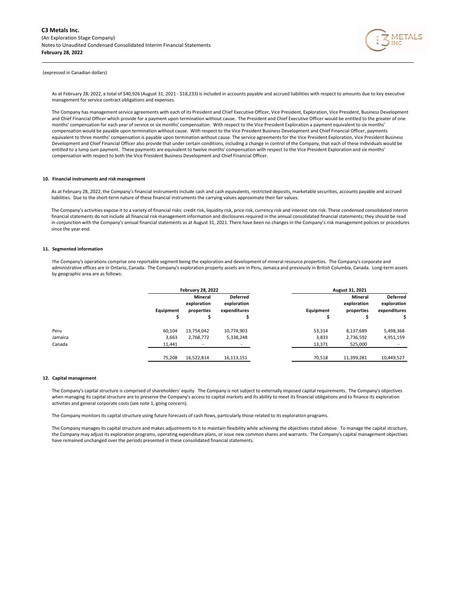

As at February 28, 2022, a total of \$40,926 (August 31, 2021 - \$18,233) is included in accounts payable and accrued liabilities with respect to amounts due to key executive management for service contract obligations and expenses.

 and Chief Financial Officer which provide for a payment upon termination without cause. The President and Chief Executive Officer would be entitled to the greater of one The Company has management service agreements with each of its President and Chief Executive Officer, Vice President, Exploration, Vice President, Business Development months' compensation for each year of service or six months' compensation. With respect to the Vice President Exploration a payment equivalent to six months' compensation would be payable upon termination without cause. With respect to the Vice President Business Development and Chief Financial Officer, payments equivalent to three months' compensation is payable upon termination without cause. The service agreements for the Vice President Exploration, Vice President Business Development and Chief Financial Officer also provide that under certain conditions, including a change in control of the Company, that each of these individuals would be entitled to a lump sum payment. These payments are equivalent to twelve months' compensation with respect to the Vice President Exploration and six months' compensation with respect to both the Vice President Business Development and Chief Financial Officer.

## **10. Financial instruments and risk management**

As at February 28, 2022, the Company's financial instruments include cash and cash equivalents, restricted deposits, marketable securities, accounts payable and accrued liabilities. Due to the short-term nature of these financial instruments the carrying values approximate their fair values.

The Company's activities expose it to a variety of financial risks: credit risk, liquidity risk, price risk, currency risk and interest rate risk. These condensed consolidated interim financial statements do not include all financial risk management information and disclosures required in the annual consolidated financial statements; they should be read in conjunction with the Company's annual financial statements as at August 31, 2021. There have been no changes in the Company's risk management policies or procedures since the year end.

## **11. Segmented information**

The Company's operations comprise one reportable segment being the exploration and development of mineral resource properties. The Company's corporate and administrative offices are in Ontario, Canada. The Company's exploration property assets are in Peru, Jamaica and previously in British Columbia, Canada. Long-term assets by geographic area are as follows:

|         |           | <b>February 28, 2022</b> |                                |           | August 31, 2021        |                                |
|---------|-----------|--------------------------|--------------------------------|-----------|------------------------|--------------------------------|
|         |           | Mineral<br>exploration   | <b>Deferred</b><br>exploration |           | Mineral<br>exploration | <b>Deferred</b><br>exploration |
|         | Equipment | properties               | expenditures                   | Equipment | properties             | expenditures                   |
|         |           | e                        |                                | s         |                        |                                |
| Peru    | 60,104    | 13,754,042               | 10,774,903                     | 53,314    | 8,137,689              | 5,498,368                      |
| Jamaica | 3,663     | 2,768,772                | 5,338,248                      | 3,833     | 2,736,592              | 4,951,159                      |
| Canada  | 11.441    | <b>-</b>                 |                                | 13,371    | 525,000                |                                |
|         | 75,208    | 16,522,814               | 16,113,151                     | 70,518    | 11,399,281             | 10,449,527                     |

#### **12. Capital management**

The Company's capital structure is comprised of shareholders' equity. The Company is not subject to externally imposed capital requirements. The Company's objectives when managing its capital structure are to preserve the Company's access to capital markets and its ability to meet its financial obligations and to finance its exploration activities and general corporate costs (see note 1, going concern).

The Company monitors its capital structure using future forecasts of cash flows, particularly those related to its exploration programs.

The Company manages its capital structure and makes adjustments to it to maintain flexibility while achieving the objectives stated above. To manage the capital structure, the Company may adjust its exploration programs, operating expenditure plans, or issue new common shares and warrants. The Company's capital management objectives have remained unchanged over the periods presented in these consolidated financial statements.